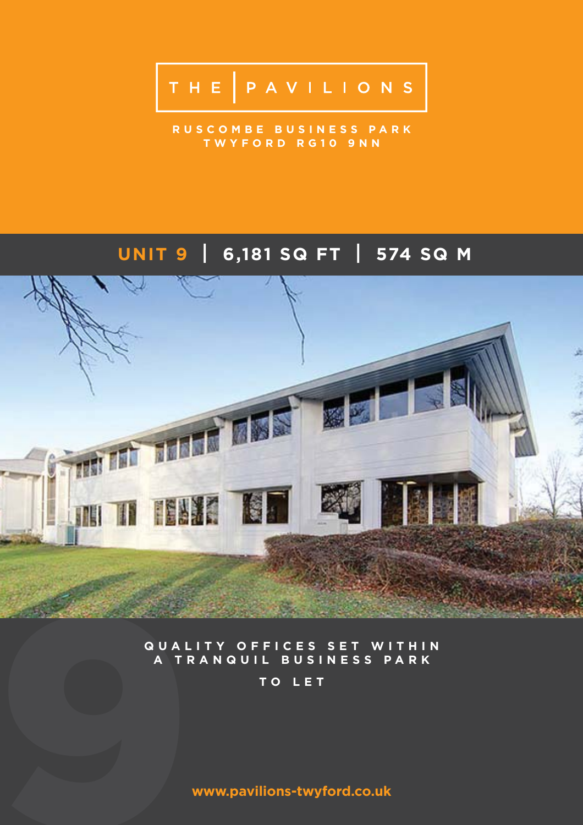# THE PAVILIONS

**R U S C O M B E B U S I N E S S P A R K TWYFORD RG10 9NN**

# **UNIT 9 I 6,181 SQ FT I 574 SQ M**



### **QUALITY OFFICES SET WITHIN A TRANQUIL BUSINESS PARK**

**TO LET**